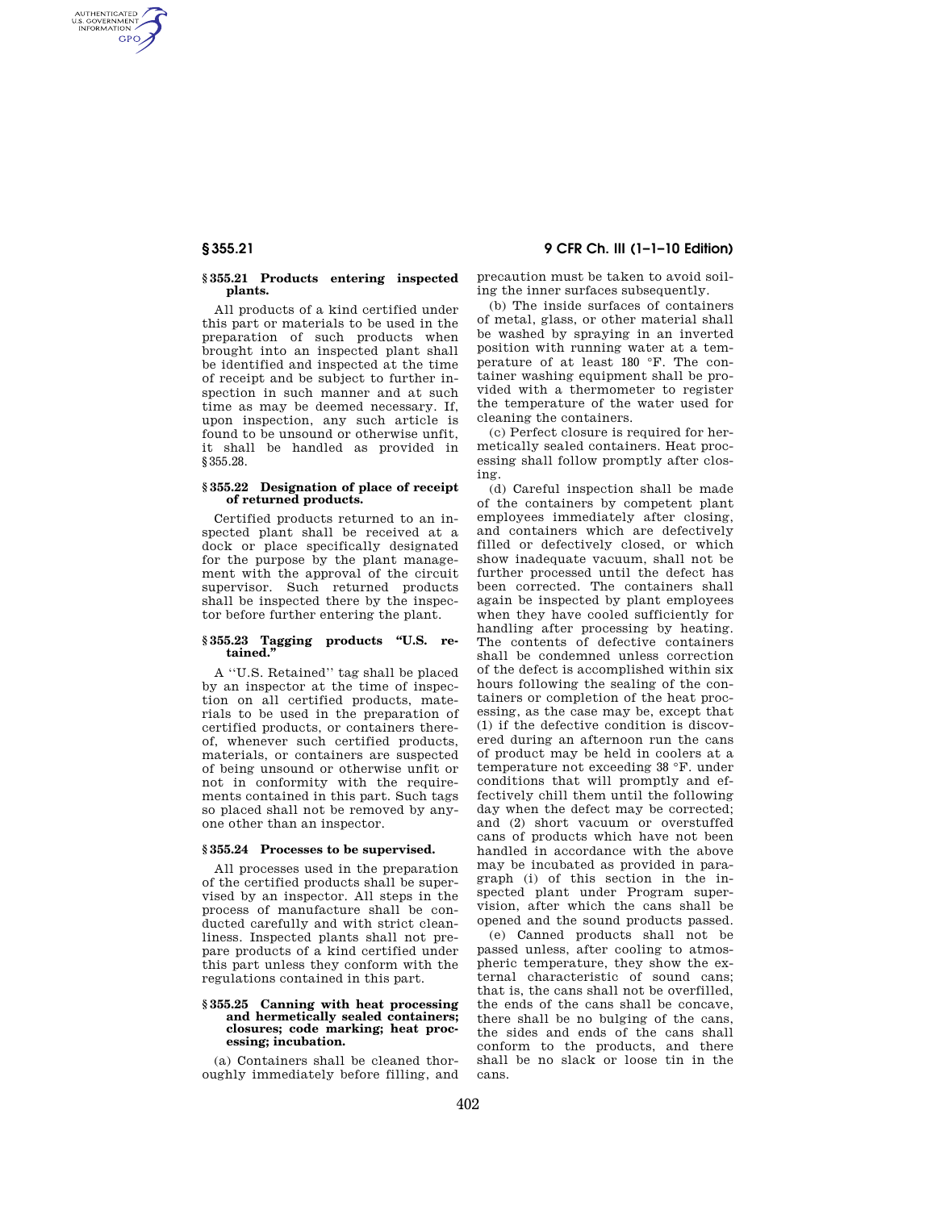AUTHENTICATED<br>U.S. GOVERNMENT<br>INFORMATION **GPO** 

# **§ 355.21 Products entering inspected plants.**

All products of a kind certified under this part or materials to be used in the preparation of such products when brought into an inspected plant shall be identified and inspected at the time of receipt and be subject to further inspection in such manner and at such time as may be deemed necessary. If, upon inspection, any such article is found to be unsound or otherwise unfit, it shall be handled as provided in §355.28.

## **§ 355.22 Designation of place of receipt of returned products.**

Certified products returned to an inspected plant shall be received at a dock or place specifically designated for the purpose by the plant management with the approval of the circuit supervisor. Such returned products shall be inspected there by the inspector before further entering the plant.

# **§ 355.23 Tagging products ''U.S. retained.''**

A ''U.S. Retained'' tag shall be placed by an inspector at the time of inspection on all certified products, materials to be used in the preparation of certified products, or containers thereof, whenever such certified products, materials, or containers are suspected of being unsound or otherwise unfit or not in conformity with the requirements contained in this part. Such tags so placed shall not be removed by anyone other than an inspector.

# **§ 355.24 Processes to be supervised.**

All processes used in the preparation of the certified products shall be supervised by an inspector. All steps in the process of manufacture shall be conducted carefully and with strict cleanliness. Inspected plants shall not prepare products of a kind certified under this part unless they conform with the regulations contained in this part.

# **§ 355.25 Canning with heat processing and hermetically sealed containers; closures; code marking; heat processing; incubation.**

(a) Containers shall be cleaned thoroughly immediately before filling, and

**§ 355.21 9 CFR Ch. III (1–1–10 Edition)** 

precaution must be taken to avoid soiling the inner surfaces subsequently.

(b) The inside surfaces of containers of metal, glass, or other material shall be washed by spraying in an inverted position with running water at a temperature of at least 180 °F. The container washing equipment shall be provided with a thermometer to register the temperature of the water used for cleaning the containers.

(c) Perfect closure is required for hermetically sealed containers. Heat processing shall follow promptly after closing.

(d) Careful inspection shall be made of the containers by competent plant employees immediately after closing, and containers which are defectively filled or defectively closed, or which show inadequate vacuum, shall not be further processed until the defect has been corrected. The containers shall again be inspected by plant employees when they have cooled sufficiently for handling after processing by heating. The contents of defective containers shall be condemned unless correction of the defect is accomplished within six hours following the sealing of the containers or completion of the heat processing, as the case may be, except that (1) if the defective condition is discovered during an afternoon run the cans of product may be held in coolers at a temperature not exceeding 38 °F. under conditions that will promptly and effectively chill them until the following day when the defect may be corrected; and (2) short vacuum or overstuffed cans of products which have not been handled in accordance with the above may be incubated as provided in paragraph (i) of this section in the inspected plant under Program supervision, after which the cans shall be opened and the sound products passed.

(e) Canned products shall not be passed unless, after cooling to atmospheric temperature, they show the external characteristic of sound cans; that is, the cans shall not be overfilled, the ends of the cans shall be concave, there shall be no bulging of the cans, the sides and ends of the cans shall conform to the products, and there shall be no slack or loose tin in the cans.